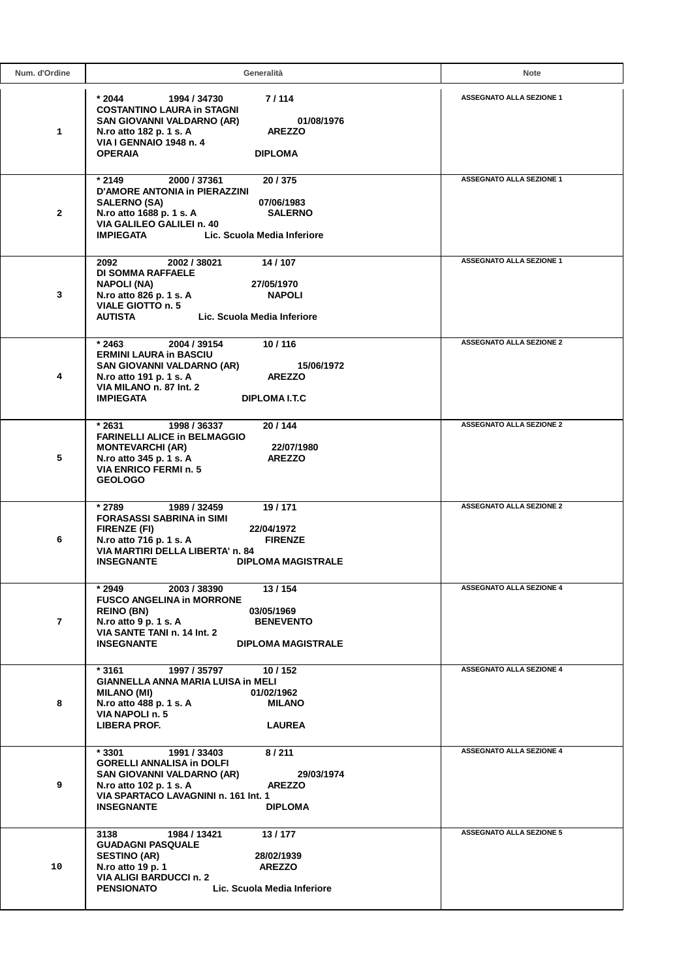| Num. d'Ordine | Generalità                                                                                                                                                                                                                                    | <b>Note</b>                     |
|---------------|-----------------------------------------------------------------------------------------------------------------------------------------------------------------------------------------------------------------------------------------------|---------------------------------|
| 1             | * 2044<br>7/114<br>1994 / 34730<br><b>COSTANTINO LAURA in STAGNI</b><br>SAN GIOVANNI VALDARNO (AR)<br>01/08/1976<br><b>AREZZO</b><br>N.ro atto 182 p. 1 s. A<br><b>VIA I GENNAIO 1948 n. 4</b><br><b>OPERAIA</b><br><b>DIPLOMA</b>            | <b>ASSEGNATO ALLA SEZIONE 1</b> |
| $\mathbf{2}$  | * 2149<br>2000 / 37361<br>20/375<br><b>D'AMORE ANTONIA in PIERAZZINI</b><br>07/06/1983<br><b>SALERNO (SA)</b><br>N.ro atto 1688 p. 1 s. A<br><b>SALERNO</b><br>VIA GALILEO GALILEI n. 40<br><b>IMPIEGATA</b><br>Lic. Scuola Media Inferiore   | <b>ASSEGNATO ALLA SEZIONE 1</b> |
| 3             | 14 / 107<br>2092<br>2002 / 38021<br><b>DI SOMMA RAFFAELE</b><br><b>NAPOLI (NA)</b><br>27/05/1970<br>N.ro atto 826 p. 1 s. A<br><b>NAPOLI</b><br>VIALE GIOTTO n. 5<br><b>AUTISTA</b><br>Lic. Scuola Media Inferiore                            | <b>ASSEGNATO ALLA SEZIONE 1</b> |
| 4             | 10/116<br>$*2463$<br>2004 / 39154<br><b>ERMINI LAURA in BASCIU</b><br>SAN GIOVANNI VALDARNO (AR)<br>15/06/1972<br>N.ro atto 191 p. 1 s. A<br><b>AREZZO</b><br>VIA MILANO n. 87 Int. 2<br><b>IMPIEGATA</b><br>DIPLOMA I.T.C                    | <b>ASSEGNATO ALLA SEZIONE 2</b> |
| 5             | 1998 / 36337<br>20/144<br>* 2631<br><b>FARINELLI ALICE in BELMAGGIO</b><br><b>MONTEVARCHI (AR)</b><br>22/07/1980<br>N.ro atto 345 p. 1 s. A<br><b>AREZZO</b><br>VIA ENRICO FERMI n. 5<br><b>GEOLOGO</b>                                       | <b>ASSEGNATO ALLA SEZIONE 2</b> |
| 6             | $*2789$<br>1989 / 32459<br>19/171<br><b>FORASASSI SABRINA in SIMI</b><br><b>FIRENZE (FI)</b><br>22/04/1972<br>N.ro atto 716 p. 1 s. A<br><b>FIRENZE</b><br>VIA MARTIRI DELLA LIBERTA' n. 84<br><b>INSEGNANTE</b><br><b>DIPLOMA MAGISTRALE</b> | <b>ASSEGNATO ALLA SEZIONE 2</b> |
| 7             | * 2949<br>2003 / 38390<br>13/154<br><b>FUSCO ANGELINA in MORRONE</b><br><b>REINO (BN)</b><br>03/05/1969<br>N.ro atto 9 p. 1 s. A<br><b>BENEVENTO</b><br>VIA SANTE TANI n. 14 Int. 2<br><b>INSEGNANTE</b><br><b>DIPLOMA MAGISTRALE</b>         | <b>ASSEGNATO ALLA SEZIONE 4</b> |
| 8             | $*3161$<br>1997 / 35797<br>10/152<br>GIANNELLA ANNA MARIA LUISA in MELI<br><b>MILANO (MI)</b><br>01/02/1962<br>N.ro atto 488 p. 1 s. A<br>MILANO<br>VIA NAPOLI n. 5<br><b>LIBERA PROF.</b><br><b>LAUREA</b>                                   | <b>ASSEGNATO ALLA SEZIONE 4</b> |
| 9             | * 3301<br>1991 / 33403<br>8/211<br><b>GORELLI ANNALISA in DOLFI</b><br>SAN GIOVANNI VALDARNO (AR)<br>29/03/1974<br>N.ro atto 102 p. 1 s. A<br><b>AREZZO</b><br>VIA SPARTACO LAVAGNINI n. 161 Int. 1<br><b>INSEGNANTE</b><br><b>DIPLOMA</b>    | <b>ASSEGNATO ALLA SEZIONE 4</b> |
| 10            | 13/177<br>3138<br>1984 / 13421<br><b>GUADAGNI PASQUALE</b><br><b>SESTINO (AR)</b><br>28/02/1939<br>N.ro atto 19 p. 1<br><b>AREZZO</b><br><b>VIA ALIGI BARDUCCI n. 2</b><br><b>PENSIONATO</b><br>Lic. Scuola Media Inferiore                   | <b>ASSEGNATO ALLA SEZIONE 5</b> |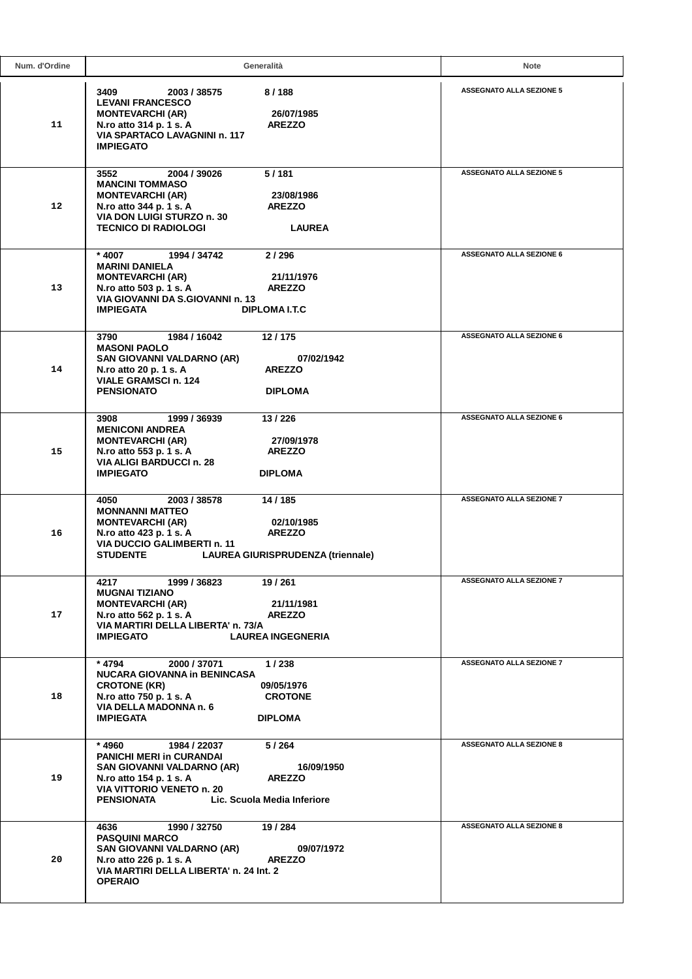| Num. d'Ordine   | Generalità                                                                                                                                                                                                                                  | Note                            |
|-----------------|---------------------------------------------------------------------------------------------------------------------------------------------------------------------------------------------------------------------------------------------|---------------------------------|
| 11              | 8/188<br>3409<br>2003 / 38575<br><b>LEVANI FRANCESCO</b><br><b>MONTEVARCHI (AR)</b><br>26/07/1985<br>N.ro atto 314 p. 1 s. A<br><b>AREZZO</b><br><b>VIA SPARTACO LAVAGNINI n. 117</b><br><b>IMPIEGATO</b>                                   | <b>ASSEGNATO ALLA SEZIONE 5</b> |
| 12 <sup>2</sup> | 2004 / 39026<br>5/181<br>3552<br><b>MANCINI TOMMASO</b><br><b>MONTEVARCHI (AR)</b><br>23/08/1986<br><b>AREZZO</b><br>N.ro atto 344 p. 1 s. A<br>VIA DON LUIGI STURZO n. 30<br><b>TECNICO DI RADIOLOGI</b><br><b>LAUREA</b>                  | <b>ASSEGNATO ALLA SEZIONE 5</b> |
| 13              | 2/296<br>* 4007<br>1994 / 34742<br><b>MARINI DANIELA</b><br><b>MONTEVARCHI (AR)</b><br>21/11/1976<br><b>AREZZO</b><br>N.ro atto 503 p. 1 s. A<br>VIA GIOVANNI DA S.GIOVANNI n. 13<br><b>IMPIEGATA</b><br>DIPLOMA I.T.C                      | <b>ASSEGNATO ALLA SEZIONE 6</b> |
| 14              | 1984 / 16042<br>12/175<br>3790<br><b>MASONI PAOLO</b><br>SAN GIOVANNI VALDARNO (AR)<br>07/02/1942<br>N.ro atto 20 p. 1 s. A<br><b>AREZZO</b><br><b>VIALE GRAMSCI n. 124</b><br><b>PENSIONATO</b><br><b>DIPLOMA</b>                          | <b>ASSEGNATO ALLA SEZIONE 6</b> |
| 15              | 3908<br>1999 / 36939<br>13/226<br><b>MENICONI ANDREA</b><br><b>MONTEVARCHI (AR)</b><br>27/09/1978<br>N.ro atto 553 p. 1 s. A<br><b>AREZZO</b><br><b>VIA ALIGI BARDUCCI n. 28</b><br><b>IMPIEGATO</b><br><b>DIPLOMA</b>                      | <b>ASSEGNATO ALLA SEZIONE 6</b> |
| 16              | 4050<br>2003 / 38578<br>14/185<br><b>MONNANNI MATTEO</b><br><b>MONTEVARCHI (AR)</b><br>02/10/1985<br>N.ro atto 423 p. 1 s. A<br><b>AREZZO</b><br><b>VIA DUCCIO GALIMBERTI n. 11</b><br><b>STUDENTE</b><br>LAUREA GIURISPRUDENZA (triennale) | <b>ASSEGNATO ALLA SEZIONE 7</b> |
| 17              | 4217<br>1999 / 36823<br>19 / 261<br><b>MUGNAI TIZIANO</b><br><b>MONTEVARCHI (AR)</b><br>21/11/1981<br>N.ro atto 562 p. 1 s. A<br><b>AREZZO</b><br>VIA MARTIRI DELLA LIBERTA' n. 73/A<br><b>IMPIEGATO</b><br><b>LAUREA INGEGNERIA</b>        | <b>ASSEGNATO ALLA SEZIONE 7</b> |
| 18              | * 4794<br>2000 / 37071<br>1/238<br><b>NUCARA GIOVANNA in BENINCASA</b><br><b>CROTONE (KR)</b><br>09/05/1976<br>N.ro atto 750 p. 1 s. A<br><b>CROTONE</b><br>VIA DELLA MADONNA n. 6<br><b>IMPIEGATA</b><br><b>DIPLOMA</b>                    | <b>ASSEGNATO ALLA SEZIONE 7</b> |
| 19              | * 4960<br>1984 / 22037<br>5/264<br><b>PANICHI MERI in CURANDAI</b><br>SAN GIOVANNI VALDARNO (AR)<br>16/09/1950<br>N.ro atto 154 p. 1 s. A<br><b>AREZZO</b><br>VIA VITTORIO VENETO n. 20<br>Lic. Scuola Media Inferiore<br>PENSIONATA        | <b>ASSEGNATO ALLA SEZIONE 8</b> |
| 20              | 4636<br>1990 / 32750<br>19 / 284<br><b>PASQUINI MARCO</b><br>SAN GIOVANNI VALDARNO (AR)<br>09/07/1972<br>N.ro atto 226 p. 1 s. A<br><b>AREZZO</b><br>VIA MARTIRI DELLA LIBERTA' n. 24 Int. 2<br><b>OPERAIO</b>                              | <b>ASSEGNATO ALLA SEZIONE 8</b> |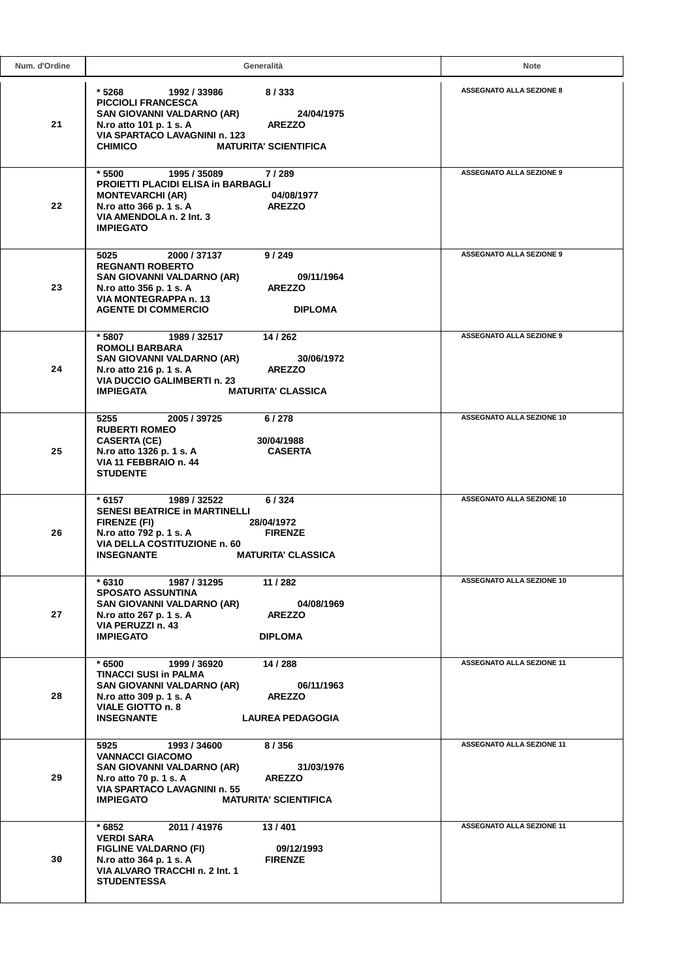| Num. d'Ordine | Generalità                                                                                                                                                                                                                                  | Note                             |
|---------------|---------------------------------------------------------------------------------------------------------------------------------------------------------------------------------------------------------------------------------------------|----------------------------------|
| 21            | * 5268<br>8/333<br>1992 / 33986<br><b>PICCIOLI FRANCESCA</b><br>SAN GIOVANNI VALDARNO (AR)<br>24/04/1975<br>N.ro atto 101 p. 1 s. A<br><b>AREZZO</b><br>VIA SPARTACO LAVAGNINI n. 123<br><b>MATURITA' SCIENTIFICA</b><br><b>CHIMICO</b>     | <b>ASSEGNATO ALLA SEZIONE 8</b>  |
| 22            | 1995 / 35089<br>7/289<br>* 5500<br><b>PROIETTI PLACIDI ELISA in BARBAGLI</b><br><b>MONTEVARCHI (AR)</b><br>04/08/1977<br>N.ro atto 366 p. 1 s. A<br><b>AREZZO</b><br>VIA AMENDOLA n. 2 Int. 3<br><b>IMPIEGATO</b>                           | <b>ASSEGNATO ALLA SEZIONE 9</b>  |
| 23            | 5025<br>2000 / 37137<br>9/249<br><b>REGNANTI ROBERTO</b><br>SAN GIOVANNI VALDARNO (AR)<br>09/11/1964<br><b>AREZZO</b><br>N.ro atto 356 p. 1 s. A<br>VIA MONTEGRAPPA n. 13<br><b>AGENTE DI COMMERCIO</b><br><b>DIPLOMA</b>                   | <b>ASSEGNATO ALLA SEZIONE 9</b>  |
| 24            | 14 / 262<br>* 5807<br>1989 / 32517<br><b>ROMOLI BARBARA</b><br>SAN GIOVANNI VALDARNO (AR)<br>30/06/1972<br>N.ro atto 216 p. 1 s. A<br><b>AREZZO</b><br><b>VIA DUCCIO GALIMBERTI n. 23</b><br><b>IMPIEGATA</b><br><b>MATURITA' CLASSICA</b>  | <b>ASSEGNATO ALLA SEZIONE 9</b>  |
| 25            | 2005 / 39725<br>5255<br>6/278<br><b>RUBERTI ROMEO</b><br><b>CASERTA (CE)</b><br>30/04/1988<br>N.ro atto 1326 p. 1 s. A<br><b>CASERTA</b><br>VIA 11 FEBBRAIO n. 44<br><b>STUDENTE</b>                                                        | <b>ASSEGNATO ALLA SEZIONE 10</b> |
| 26            | 6/324<br>* 6157<br>1989 / 32522<br><b>SENESI BEATRICE in MARTINELLI</b><br><b>FIRENZE (FI)</b><br>28/04/1972<br>N.ro atto 792 p. 1 s. A<br><b>FIRENZE</b><br>VIA DELLA COSTITUZIONE n. 60<br><b>INSEGNANTE</b><br><b>MATURITA' CLASSICA</b> | <b>ASSEGNATO ALLA SEZIONE 10</b> |
| 27            | $*6310$<br>11 / 282<br>1987 / 31295<br><b>SPOSATO ASSUNTINA</b><br>SAN GIOVANNI VALDARNO (AR)<br>04/08/1969<br>N.ro atto 267 p. 1 s. A<br><b>AREZZO</b><br>VIA PERUZZI n. 43<br><b>IMPIEGATO</b><br><b>DIPLOMA</b>                          | <b>ASSEGNATO ALLA SEZIONE 10</b> |
| 28            | 14 / 288<br>* 6500<br>1999 / 36920<br><b>TINACCI SUSI in PALMA</b><br>SAN GIOVANNI VALDARNO (AR)<br>06/11/1963<br>N.ro atto 309 p. 1 s. A<br><b>AREZZO</b><br>VIALE GIOTTO n. 8<br><b>INSEGNANTE</b><br><b>LAUREA PEDAGOGIA</b>             | <b>ASSEGNATO ALLA SEZIONE 11</b> |
| 29            | 5925<br>1993 / 34600<br>8/356<br><b>VANNACCI GIACOMO</b><br>SAN GIOVANNI VALDARNO (AR)<br>31/03/1976<br>N.ro atto 70 p. 1 s. A<br><b>AREZZO</b><br>VIA SPARTACO LAVAGNINI n. 55<br><b>IMPIEGATO</b><br><b>MATURITA' SCIENTIFICA</b>         | <b>ASSEGNATO ALLA SEZIONE 11</b> |
| 30            | * 6852<br>2011 / 41976<br>13/401<br><b>VERDI SARA</b><br><b>FIGLINE VALDARNO (FI)</b><br>09/12/1993<br>N.ro atto 364 p. 1 s. A<br><b>FIRENZE</b><br>VIA ALVARO TRACCHI n. 2 Int. 1<br><b>STUDENTESSA</b>                                    | <b>ASSEGNATO ALLA SEZIONE 11</b> |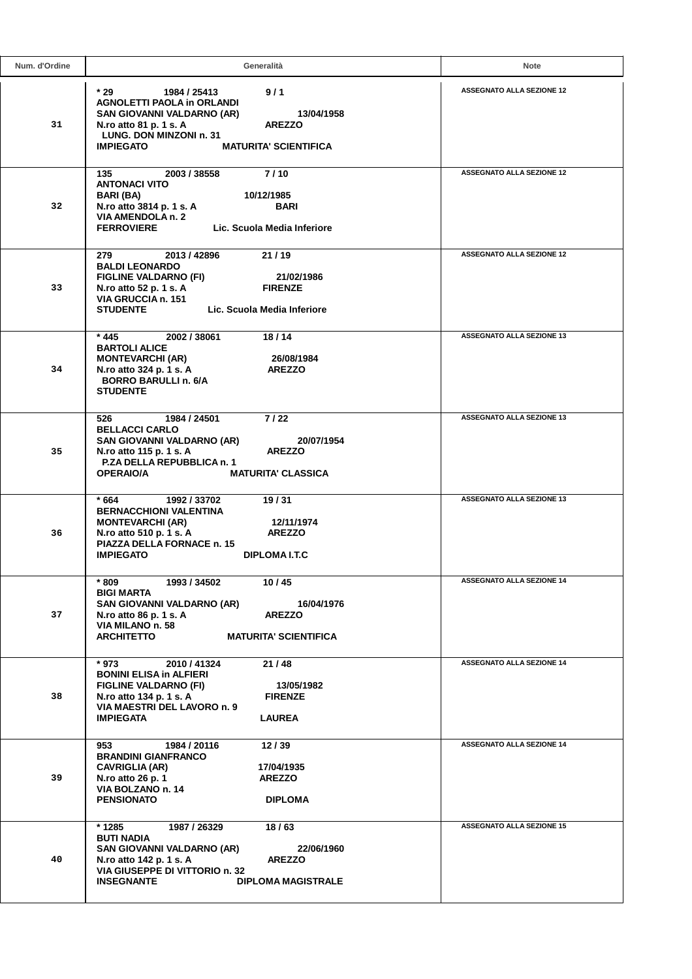| Num. d'Ordine | Generalità                                                                                                                                                                                                                              | <b>Note</b>                      |
|---------------|-----------------------------------------------------------------------------------------------------------------------------------------------------------------------------------------------------------------------------------------|----------------------------------|
| 31            | $*29$<br>9/1<br>1984 / 25413<br><b>AGNOLETTI PAOLA in ORLANDI</b><br>13/04/1958<br>SAN GIOVANNI VALDARNO (AR)<br>N.ro atto 81 p. 1 s. A<br><b>AREZZO</b><br>LUNG. DON MINZONI n. 31<br><b>IMPIEGATO</b><br><b>MATURITA' SCIENTIFICA</b> | <b>ASSEGNATO ALLA SEZIONE 12</b> |
| 32            | 7/10<br>135<br>2003 / 38558<br><b>ANTONACI VITO</b><br>BARI (BA)<br>10/12/1985<br>N.ro atto 3814 p. 1 s. A<br><b>BARI</b><br>VIA AMENDOLA n. 2<br><b>FERROVIERE</b><br>Lic. Scuola Media Inferiore                                      | <b>ASSEGNATO ALLA SEZIONE 12</b> |
| 33            | 21/19<br>279<br>2013 / 42896<br><b>BALDI LEONARDO</b><br><b>FIGLINE VALDARNO (FI)</b><br>21/02/1986<br>N.ro atto 52 p. 1 s. A<br><b>FIRENZE</b><br>VIA GRUCCIA n. 151<br><b>STUDENTE</b><br>Lic. Scuola Media Inferiore                 | <b>ASSEGNATO ALLA SEZIONE 12</b> |
| 34            | 18/14<br>* 445<br>2002 / 38061<br><b>BARTOLI ALICE</b><br><b>MONTEVARCHI (AR)</b><br>26/08/1984<br>N.ro atto 324 p. 1 s. A<br><b>AREZZO</b><br><b>BORRO BARULLI n. 6/A</b><br><b>STUDENTE</b>                                           | <b>ASSEGNATO ALLA SEZIONE 13</b> |
| 35            | 7 / 22<br>526<br>1984 / 24501<br><b>BELLACCI CARLO</b><br>SAN GIOVANNI VALDARNO (AR)<br>20/07/1954<br>N.ro atto 115 p. 1 s. A<br><b>AREZZO</b><br>P.ZA DELLA REPUBBLICA n. 1<br><b>OPERAIO/A</b><br><b>MATURITA' CLASSICA</b>           | <b>ASSEGNATO ALLA SEZIONE 13</b> |
| 36            | $*664$<br>1992 / 33702<br>19/31<br><b>BERNACCHIONI VALENTINA</b><br><b>MONTEVARCHI (AR)</b><br>12/11/1974<br>N.ro atto 510 p. 1 s. A<br><b>AREZZO</b><br>PIAZZA DELLA FORNACE n. 15<br><b>IMPIEGATO</b><br>DIPLOMA I.T.C                | <b>ASSEGNATO ALLA SEZIONE 13</b> |
| 37            | $^{\star}$ 809<br>1993 / 34502<br>10/45<br><b>BIGI MARTA</b><br>SAN GIOVANNI VALDARNO (AR)<br>16/04/1976<br><b>AREZZO</b><br>N.ro atto 86 p. 1 s. A<br>VIA MILANO n. 58<br><b>ARCHITETTO</b><br><b>MATURITA' SCIENTIFICA</b>            | <b>ASSEGNATO ALLA SEZIONE 14</b> |
| 38            | * 973<br>2010 / 41324<br>21/48<br><b>BONINI ELISA in ALFIERI</b><br><b>FIGLINE VALDARNO (FI)</b><br>13/05/1982<br>N.ro atto 134 p. 1 s. A<br><b>FIRENZE</b><br>VIA MAESTRI DEL LAVORO n. 9<br><b>IMPIEGATA</b><br><b>LAUREA</b>         | <b>ASSEGNATO ALLA SEZIONE 14</b> |
| 39            | 953<br>1984 / 20116<br>12/39<br><b>BRANDINI GIANFRANCO</b><br><b>CAVRIGLIA (AR)</b><br>17/04/1935<br>N.ro atto 26 p. 1<br><b>AREZZO</b><br>VIA BOLZANO n. 14<br><b>PENSIONATO</b><br><b>DIPLOMA</b>                                     | <b>ASSEGNATO ALLA SEZIONE 14</b> |
| 40            | * 1285<br>1987 / 26329<br>18/63<br><b>BUTI NADIA</b><br>SAN GIOVANNI VALDARNO (AR)<br>22/06/1960<br>N.ro atto 142 p. 1 s. A<br><b>AREZZO</b><br>VIA GIUSEPPE DI VITTORIO n. 32<br><b>INSEGNANTE</b><br><b>DIPLOMA MAGISTRALE</b>        | <b>ASSEGNATO ALLA SEZIONE 15</b> |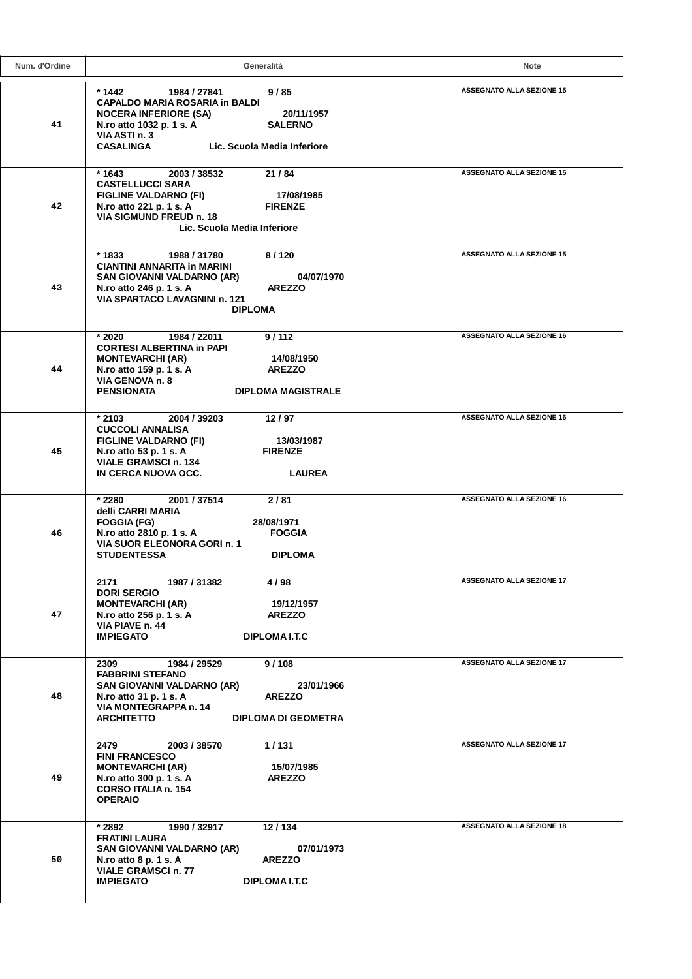| Num. d'Ordine | Generalità                                                                                                                                                                                                                              | Note                             |
|---------------|-----------------------------------------------------------------------------------------------------------------------------------------------------------------------------------------------------------------------------------------|----------------------------------|
| 41            | * 1442<br>9/85<br>1984 / 27841<br><b>CAPALDO MARIA ROSARIA in BALDI</b><br><b>NOCERA INFERIORE (SA)</b><br>20/11/1957<br>N.ro atto 1032 p. 1 s. A<br><b>SALERNO</b><br>VIA ASTI n. 3<br><b>CASALINGA</b><br>Lic. Scuola Media Inferiore | <b>ASSEGNATO ALLA SEZIONE 15</b> |
| 42            | $*1643$<br>2003 / 38532<br>21/84<br><b>CASTELLUCCI SARA</b><br><b>FIGLINE VALDARNO (FI)</b><br>17/08/1985<br>N.ro atto 221 p. 1 s. A<br><b>FIRENZE</b><br>VIA SIGMUND FREUD n. 18<br>Lic. Scuola Media Inferiore                        | <b>ASSEGNATO ALLA SEZIONE 15</b> |
| 43            | * 1833<br>8/120<br>1988 / 31780<br><b>CIANTINI ANNARITA in MARINI</b><br>SAN GIOVANNI VALDARNO (AR)<br>04/07/1970<br>N.ro atto 246 p. 1 s. A<br><b>AREZZO</b><br>VIA SPARTACO LAVAGNINI n. 121<br><b>DIPLOMA</b>                        | <b>ASSEGNATO ALLA SEZIONE 15</b> |
| 44            | $*2020$<br>1984 / 22011<br>9/112<br><b>CORTESI ALBERTINA in PAPI</b><br><b>MONTEVARCHI (AR)</b><br>14/08/1950<br>N.ro atto 159 p. 1 s. A<br><b>AREZZO</b><br>VIA GENOVA n. 8<br>PENSIONATA<br><b>DIPLOMA MAGISTRALE</b>                 | <b>ASSEGNATO ALLA SEZIONE 16</b> |
| 45            | * 2103<br>2004 / 39203<br>12/97<br><b>CUCCOLI ANNALISA</b><br><b>FIGLINE VALDARNO (FI)</b><br>13/03/1987<br>N.ro atto 53 p. 1 s. A<br><b>FIRENZE</b><br><b>VIALE GRAMSCI n. 134</b><br>IN CERCA NUOVA OCC.<br><b>LAUREA</b>             | <b>ASSEGNATO ALLA SEZIONE 16</b> |
| 46            | * 2280<br>2001 / 37514<br>2/81<br>delli CARRI MARIA<br><b>FOGGIA (FG)</b><br>28/08/1971<br>N.ro atto 2810 p. 1 s. A<br><b>FOGGIA</b><br>VIA SUOR ELEONORA GORI n. 1<br><b>STUDENTESSA</b><br><b>DIPLOMA</b>                             | <b>ASSEGNATO ALLA SEZIONE 16</b> |
| 47            | 2171<br>1987 / 31382<br>4 / 98<br><b>DORI SERGIO</b><br><b>MONTEVARCHI (AR)</b><br>19/12/1957<br>N.ro atto 256 p. 1 s. A<br><b>AREZZO</b><br>VIA PIAVE n. 44<br><b>IMPIEGATO</b><br>DIPLOMA I.T.C                                       | <b>ASSEGNATO ALLA SEZIONE 17</b> |
| 48            | 9/108<br>2309<br>1984 / 29529<br><b>FABBRINI STEFANO</b><br>SAN GIOVANNI VALDARNO (AR)<br>23/01/1966<br>N.ro atto 31 p. 1 s. A<br><b>AREZZO</b><br>VIA MONTEGRAPPA n. 14<br><b>ARCHITETTO</b><br><b>DIPLOMA DI GEOMETRA</b>             | <b>ASSEGNATO ALLA SEZIONE 17</b> |
| 49            | 1/131<br>2479<br>2003 / 38570<br><b>FINI FRANCESCO</b><br><b>MONTEVARCHI (AR)</b><br>15/07/1985<br>N.ro atto 300 p. 1 s. A<br><b>AREZZO</b><br><b>CORSO ITALIA n. 154</b><br><b>OPERAIO</b>                                             | <b>ASSEGNATO ALLA SEZIONE 17</b> |
| 50            | * 2892<br>1990 / 32917<br>12/134<br><b>FRATINI LAURA</b><br>SAN GIOVANNI VALDARNO (AR)<br>07/01/1973<br>N.ro atto 8 p. 1 s. A<br><b>AREZZO</b><br><b>VIALE GRAMSCI n. 77</b><br><b>IMPIEGATO</b><br><b>DIPLOMA I.T.C</b>                | <b>ASSEGNATO ALLA SEZIONE 18</b> |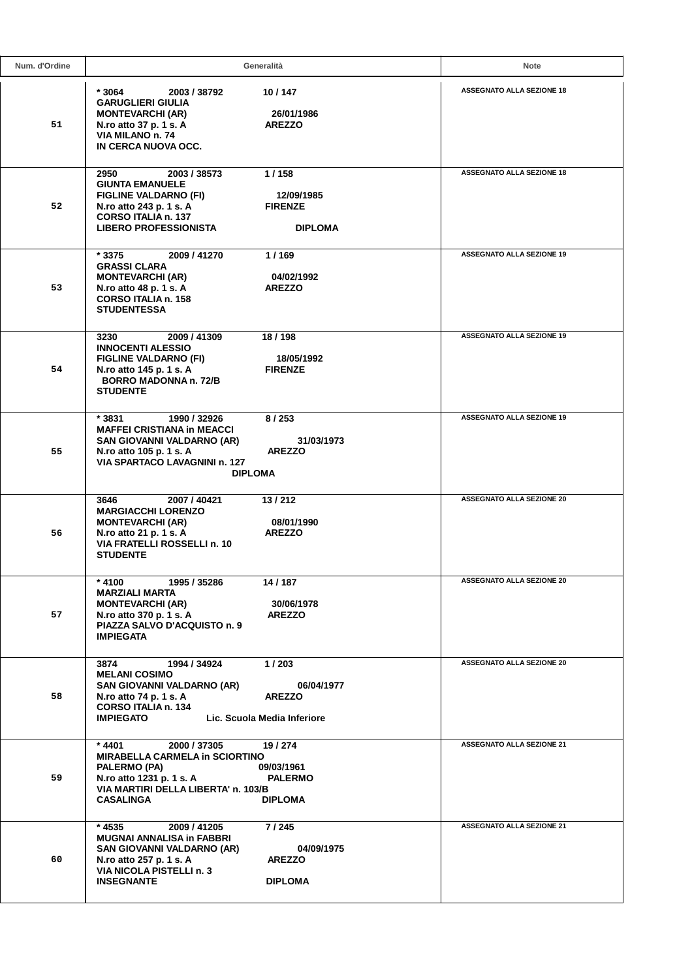| Num. d'Ordine | Generalità                                                                                                                                                                                                         |                                                | Note                             |
|---------------|--------------------------------------------------------------------------------------------------------------------------------------------------------------------------------------------------------------------|------------------------------------------------|----------------------------------|
| 51            | * 3064<br>10/147<br>2003 / 38792<br><b>GARUGLIERI GIULIA</b><br><b>MONTEVARCHI (AR)</b><br>N.ro atto 37 p. 1 s. A<br><b>AREZZO</b><br>VIA MILANO n. 74<br>IN CERCA NUOVA OCC.                                      | 26/01/1986                                     | <b>ASSEGNATO ALLA SEZIONE 18</b> |
| 52            | 1/158<br>2950<br>2003 / 38573<br><b>GIUNTA EMANUELE</b><br><b>FIGLINE VALDARNO (FI)</b><br>N.ro atto 243 p. 1 s. A<br><b>CORSO ITALIA n. 137</b><br><b>LIBERO PROFESSIONISTA</b>                                   | 12/09/1985<br><b>FIRENZE</b><br><b>DIPLOMA</b> | <b>ASSEGNATO ALLA SEZIONE 18</b> |
| 53            | 1/169<br>* 3375<br>2009 / 41270<br><b>GRASSI CLARA</b><br><b>MONTEVARCHI (AR)</b><br><b>AREZZO</b><br>N.ro atto 48 p. 1 s. A<br><b>CORSO ITALIA n. 158</b><br><b>STUDENTESSA</b>                                   | 04/02/1992                                     | <b>ASSEGNATO ALLA SEZIONE 19</b> |
| 54            | 18/198<br>2009 / 41309<br>3230<br><b>INNOCENTI ALESSIO</b><br><b>FIGLINE VALDARNO (FI)</b><br>N.ro atto 145 p. 1 s. A<br><b>BORRO MADONNA n. 72/B</b><br><b>STUDENTE</b>                                           | 18/05/1992<br><b>FIRENZE</b>                   | <b>ASSEGNATO ALLA SEZIONE 19</b> |
| 55            | 8/253<br>1990 / 32926<br>* 3831<br><b>MAFFEI CRISTIANA in MEACCI</b><br>SAN GIOVANNI VALDARNO (AR)<br>N.ro atto 105 p. 1 s. A<br>VIA SPARTACO LAVAGNINI n. 127<br><b>DIPLOMA</b>                                   | 31/03/1973<br><b>AREZZO</b>                    | <b>ASSEGNATO ALLA SEZIONE 19</b> |
| 56            | 3646<br>2007 / 40421<br>13/212<br><b>MARGIACCHI LORENZO</b><br><b>MONTEVARCHI (AR)</b><br>N.ro atto 21 p. 1 s. A<br><b>AREZZO</b><br>VIA FRATELLI ROSSELLI n. 10<br><b>STUDENTE</b>                                | 08/01/1990                                     | <b>ASSEGNATO ALLA SEZIONE 20</b> |
| 57            | $*$ 4100<br>14 / 187<br>1995 / 35286<br><b>MARZIALI MARTA</b><br><b>MONTEVARCHI (AR)</b><br>N.ro atto 370 p. 1 s. A<br>PIAZZA SALVO D'ACQUISTO n. 9<br><b>IMPIEGATA</b>                                            | 30/06/1978<br><b>AREZZO</b>                    | <b>ASSEGNATO ALLA SEZIONE 20</b> |
| 58            | 1/203<br>3874<br>1994 / 34924<br><b>MELANI COSIMO</b><br>SAN GIOVANNI VALDARNO (AR)<br>N.ro atto 74 p. 1 s. A<br><b>AREZZO</b><br>CORSO ITALIA n. 134<br><b>IMPIEGATO</b><br>Lic. Scuola Media Inferiore           | 06/04/1977                                     | <b>ASSEGNATO ALLA SEZIONE 20</b> |
| 59            | * 4401<br>2000 / 37305<br>19 / 274<br><b>MIRABELLA CARMELA in SCIORTINO</b><br>PALERMO (PA)<br>09/03/1961<br>N.ro atto 1231 p. 1 s. A<br>VIA MARTIRI DELLA LIBERTA' n. 103/B<br><b>CASALINGA</b><br><b>DIPLOMA</b> | <b>PALERMO</b>                                 | <b>ASSEGNATO ALLA SEZIONE 21</b> |
| 60            | $*4535$<br>2009 / 41205<br>7 / 245<br><b>MUGNAI ANNALISA in FABBRI</b><br>SAN GIOVANNI VALDARNO (AR)<br>N.ro atto 257 p. 1 s. A<br>VIA NICOLA PISTELLI n. 3<br><b>INSEGNANTE</b>                                   | 04/09/1975<br><b>AREZZO</b><br><b>DIPLOMA</b>  | <b>ASSEGNATO ALLA SEZIONE 21</b> |